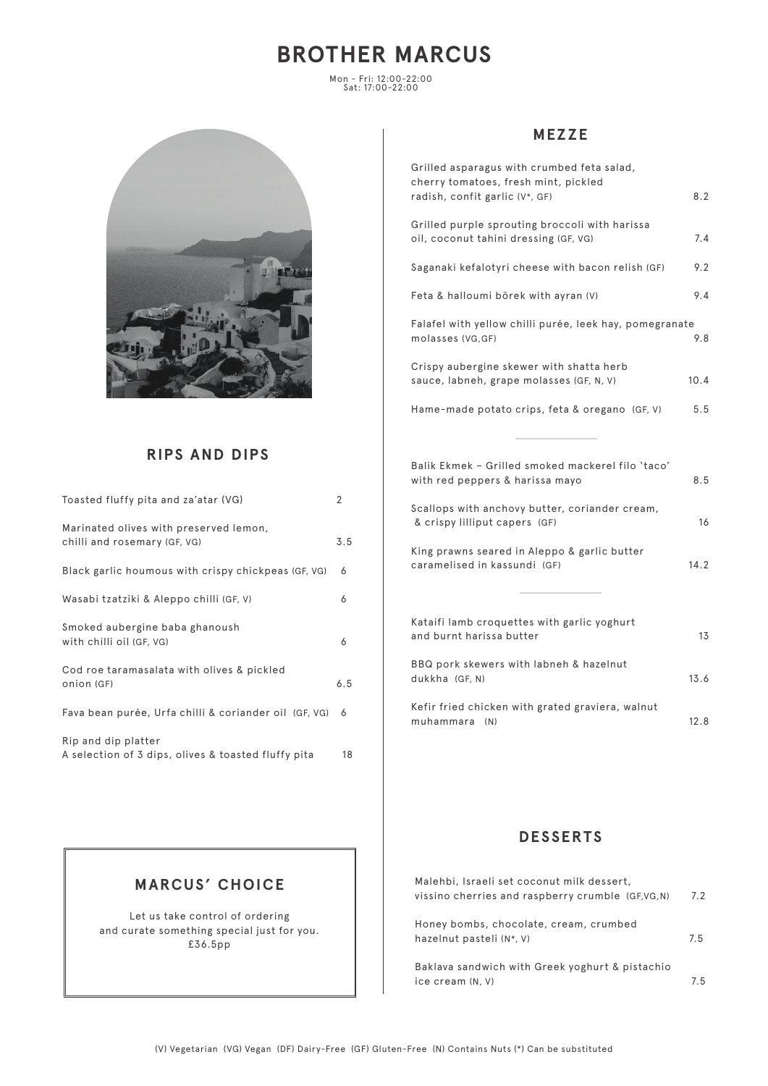# **BROTHER MARCUS**

Mon - Fri: 12:00-22:00 Sat: 17:00-22:00



## **RIPS AND DIPS**

| Toasted fluffy pita and za'atar (VG)                                       | 2   |
|----------------------------------------------------------------------------|-----|
| Marinated olives with preserved lemon,<br>chilli and rosemary (GF, VG)     | 3.5 |
| Black garlic houmous with crispy chickpeas (GF, VG)                        | 6   |
| Wasabi tzatziki & Aleppo chilli (GF, V)                                    | 6   |
| Smoked aubergine baba ghanoush<br>with chilli oil (GF, VG)                 | 6   |
| Cod roe taramasalata with olives & pickled<br>onion (GF)                   | 6.5 |
| Fava bean purée, Urfa chilli & coriander oil (GF, VG)                      | 6   |
| Rip and dip platter<br>A selection of 3 dips, olives & toasted fluffy pita | 18  |

## **MEZZE**

| Grilled asparagus with crumbed feta salad,<br>cherry tomatoes, fresh mint, pickled      |      |
|-----------------------------------------------------------------------------------------|------|
| radish, confit garlic (V*, GF)                                                          | 8.2  |
| Grilled purple sprouting broccoli with harissa<br>oil, coconut tahini dressing (GF, VG) | 7.4  |
| Saganaki kefalotyri cheese with bacon relish (GF)                                       | 9.2  |
| Feta & halloumi börek with ayran (V)                                                    | 9.4  |
| Falafel with yellow chilli purée, leek hay, pomegranate<br>molasses (VG,GF)             | 9.8  |
| Crispy aubergine skewer with shatta herb<br>sauce, labneh, grape molasses (GF, N, V)    | 10.4 |
| Hame-made potato crips, feta & oregano (GF, V)                                          | 5.5  |
|                                                                                         |      |
| Balik Ekmek - Grilled smoked mackerel filo 'taco'<br>with red peppers & harissa mayo    | 8.5  |
| Scallops with anchovy butter, coriander cream,<br>& crispy lilliput capers (GF)         | 16   |

King prawns seared in Aleppo & garlic butter caramelised in kassundi (GF) 14.2

| Kataifi lamb croquettes with garlic yoghurt<br>and burnt harissa butter | 1 <sub>3</sub> |
|-------------------------------------------------------------------------|----------------|
| BBQ pork skewers with labneh & hazelnut<br>dukkha (GF, N)               | 13.6           |
| Kefir fried chicken with grated graviera, walnut<br>muhammara (N)       | 12.8           |

### **DESSERTS**

| Malehbi, Israeli set coconut milk dessert,<br>vissino cherries and raspberry crumble (GF,VG,N) | 7.2 |
|------------------------------------------------------------------------------------------------|-----|
| Honey bombs, chocolate, cream, crumbed<br>hazelnut pasteli (N*, V)                             | 7.5 |
| Baklava sandwich with Greek yoghurt & pistachio<br>ice cream (N, V)                            | 7.5 |

## **MARCUS' CHOICE**

Let us take control of ordering and curate something special just for you. £36.5pp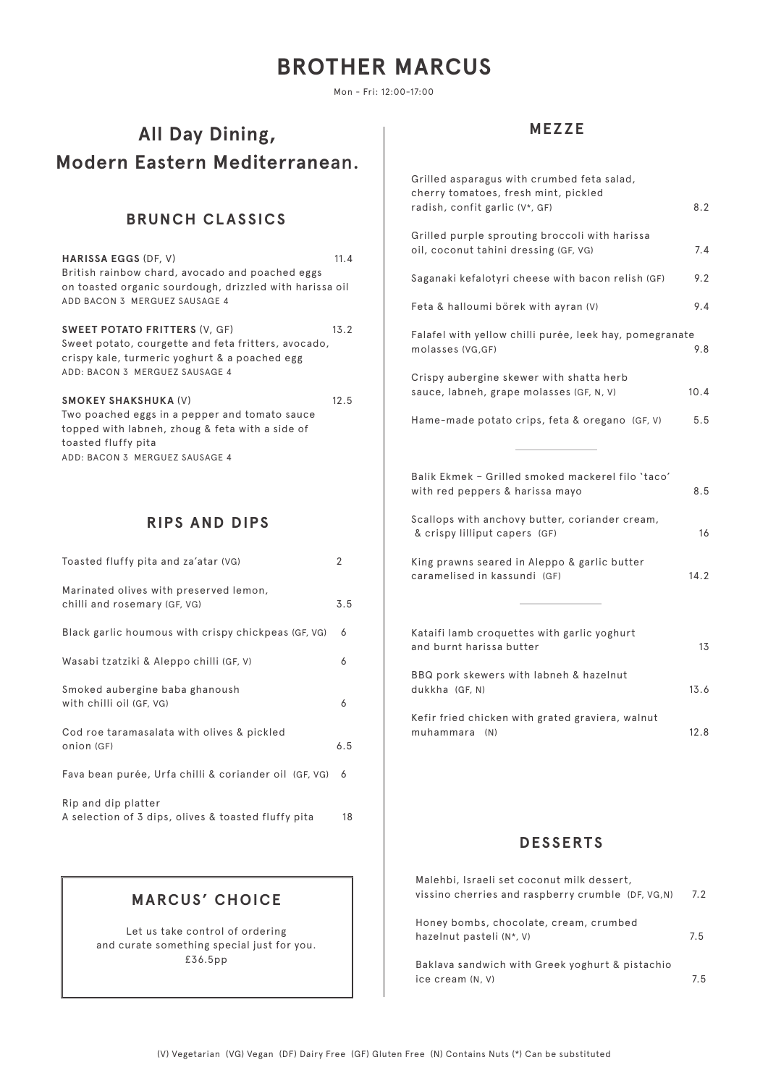# **BROTHER MARCUS**

Mon - Fri: 12:00-17:00

## **All Day Dining, Modern Eastern Mediterrane**an.

## **BRUNCH CLASSICS**

| <b>HARISSA EGGS (DF, V)</b><br>British rainbow chard, avocado and poached eggs<br>on toasted organic sourdough, drizzled with harissa oil<br>ADD BACON 3 MERGUEZ SAUSAGE 4     | 11.4 |
|--------------------------------------------------------------------------------------------------------------------------------------------------------------------------------|------|
| <b>SWEET POTATO FRITTERS (V, GF)</b><br>Sweet potato, courgette and feta fritters, avocado,<br>crispy kale, turmeric yoghurt & a poached egg<br>ADD: BACON 3 MERGUEZ SAUSAGE 4 | 13.2 |
| <b>SMOKEY SHAKSHUKA (V)</b><br>Two poached eggs in a pepper and tomato sauce<br>topped with labneh, zhoug & feta with a side of                                                | 12.5 |

## **RIPS AND DIPS**

toasted fluffy pita

ADD: BACON 3 MERGUEZ SAUSAGE 4

| Toasted fluffy pita and za'atar (VG)                                       | 2   |
|----------------------------------------------------------------------------|-----|
| Marinated olives with preserved lemon,<br>chilli and rosemary (GF, VG)     | 3.5 |
| Black garlic houmous with crispy chickpeas (GF, VG)                        | 6   |
| Wasabi tzatziki & Aleppo chilli (GF, V)                                    | 6   |
| Smoked aubergine baba ghanoush<br>with chilli oil (GF, VG)                 | 6   |
| Cod roe taramasalata with olives & pickled<br>onion (GF)                   | 6.5 |
| Fava bean purée, Urfa chilli & coriander oil (GF, VG)                      | 6   |
| Rip and dip platter<br>A selection of 3 dips, olives & toasted fluffy pita | 18  |

## **MEZZE**

| Grilled asparagus with crumbed feta salad,<br>cherry tomatoes, fresh mint, pickled      |      |
|-----------------------------------------------------------------------------------------|------|
| radish, confit garlic (V*, GF)                                                          | 8.2  |
| Grilled purple sprouting broccoli with harissa<br>oil, coconut tahini dressing (GF, VG) | 7.4  |
| Saganaki kefalotyri cheese with bacon relish (GF)                                       | 9.2  |
| Feta & halloumi börek with ayran (V)                                                    | 9.4  |
| Falafel with yellow chilli purée, leek hay, pomegranate<br>molasses (VG,GF)             | 9.8  |
| Crispy aubergine skewer with shatta herb<br>sauce, labneh, grape molasses (GF, N, V)    | 10.4 |
| Hame-made potato crips, feta & oregano (GF, V)                                          | 5.5  |
|                                                                                         |      |
| Balik Ekmek - Grilled smoked mackerel filo 'taco'<br>with red peppers & harissa mayo    | 8.5  |
| Scallops with anchovy butter, coriander cream,<br>& crispy lilliput capers (GF)         | 16   |
| King prawns seared in Aleppo & garlic butter<br>caramelised in kassundi (GF)            | 14.2 |
|                                                                                         |      |
| Kataifi lamb croquettes with garlic yoghurt<br>and burnt harissa butter                 | 13   |
| BBQ pork skewers with labneh & hazelnut<br>dukkha (GF, N)                               | 13.6 |
| Kefir fried chicken with grated graviera, walnut<br>muhammara (N)                       | 12.8 |

### **DESSERTS**

| Malehbi, Israeli set coconut milk dessert,                          |     |
|---------------------------------------------------------------------|-----|
| vissino cherries and raspberry crumble (DF, VG, N)                  | 7.2 |
| Honey bombs, chocolate, cream, crumbed<br>hazelnut pasteli (N*, V)  | 7.5 |
| Baklava sandwich with Greek yoghurt & pistachio<br>ice cream (N, V) | 7.5 |

## **MARCUS' CHOICE**

Let us take control of ordering and curate something special just for you. £36.5pp